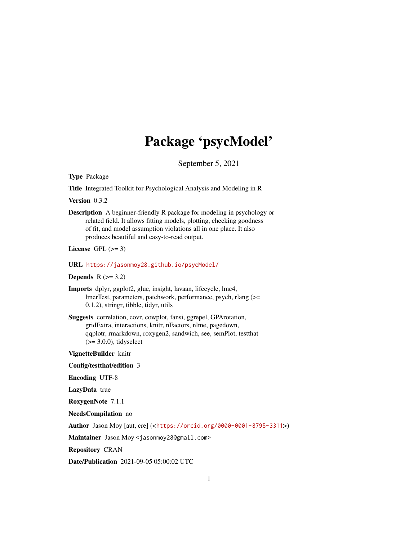# Package 'psycModel'

September 5, 2021

Type Package

Title Integrated Toolkit for Psychological Analysis and Modeling in R

Version 0.3.2

Description A beginner-friendly R package for modeling in psychology or related field. It allows fitting models, plotting, checking goodness of fit, and model assumption violations all in one place. It also produces beautiful and easy-to-read output.

License GPL  $(>= 3)$ 

URL <https://jasonmoy28.github.io/psycModel/>

Depends  $R$  ( $>= 3.2$ )

Imports dplyr, ggplot2, glue, insight, lavaan, lifecycle, lme4, lmerTest, parameters, patchwork, performance, psych, rlang (>= 0.1.2), stringr, tibble, tidyr, utils

Suggests correlation, covr, cowplot, fansi, ggrepel, GPArotation, gridExtra, interactions, knitr, nFactors, nlme, pagedown, qqplotr, rmarkdown, roxygen2, sandwich, see, semPlot, testthat  $(>= 3.0.0)$ , tidyselect

VignetteBuilder knitr

Config/testthat/edition 3

Encoding UTF-8

LazyData true

RoxygenNote 7.1.1

NeedsCompilation no

Author Jason Moy [aut, cre] (<<https://orcid.org/0000-0001-8795-3311>>)

Maintainer Jason Moy <jasonmoy28@gmail.com>

Repository CRAN

Date/Publication 2021-09-05 05:00:02 UTC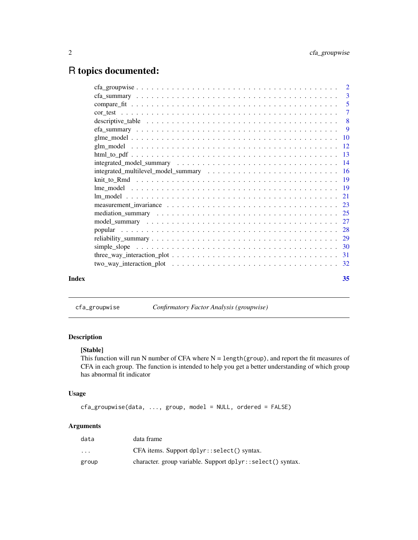## <span id="page-1-0"></span>R topics documented:

| Index | 35 |
|-------|----|

cfa\_groupwise *Confirmatory Factor Analysis (groupwise)*

#### Description

#### [Stable]

This function will run N number of CFA where  $N = length(group)$ , and report the fit measures of CFA in each group. The function is intended to help you get a better understanding of which group has abnormal fit indicator

#### Usage

cfa\_groupwise(data, ..., group, model = NULL, ordered = FALSE)

#### Arguments

| data     | data frame                                                 |
|----------|------------------------------------------------------------|
| $\cdots$ | CFA items. Support dplyr::select() syntax.                 |
| group    | character. group variable. Support dplyr::select() syntax. |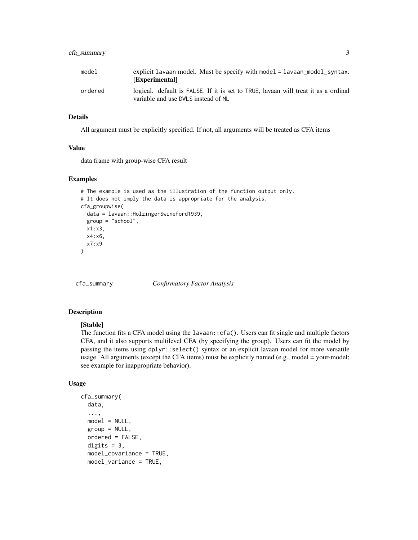#### <span id="page-2-0"></span>cfa\_summary 3

| model   | explicit lavaan model. Must be specify with model = lavaan_model_syntax.<br>[Experimental]                                |
|---------|---------------------------------------------------------------------------------------------------------------------------|
| ordered | logical. default is FALSE. If it is set to TRUE, lavaan will treat it as a ordinal<br>variable and use DWLS instead of ML |

#### Details

All argument must be explicitly specified. If not, all arguments will be treated as CFA items

#### Value

data frame with group-wise CFA result

#### Examples

```
# The example is used as the illustration of the function output only.
# It does not imply the data is appropriate for the analysis.
cfa_groupwise(
  data = lavaan::HolzingerSwineford1939,
  group = "school",
  x1:x3,
  x4:x6,
  x7:x9
\mathcal{L}
```
cfa\_summary *Confirmatory Factor Analysis*

#### Description

#### [Stable]

The function fits a CFA model using the  $l$ avaan:: $cfa()$ . Users can fit single and multiple factors CFA, and it also supports multilevel CFA (by specifying the group). Users can fit the model by passing the items using dplyr::select() syntax or an explicit lavaan model for more versatile usage. All arguments (except the CFA items) must be explicitly named (e.g., model = your-model; see example for inappropriate behavior).

#### Usage

```
cfa_summary(
  data,
  ...,
  model = NULL,group = NULL,
  ordered = FALSE,
  digits = 3,
  model_covariance = TRUE,
  model_variance = TRUE,
```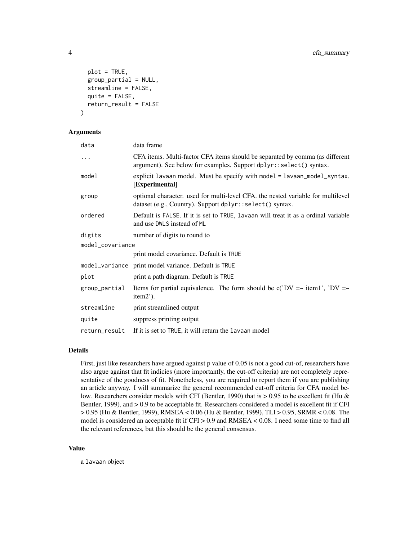```
plot = TRUE,
  group_partial = NULL,
  streamline = FALSE,
  quite = FALSE,return_result = FALSE
)
```
#### Arguments

| data             | data frame                                                                                                                                         |
|------------------|----------------------------------------------------------------------------------------------------------------------------------------------------|
|                  | CFA items. Multi-factor CFA items should be separated by comma (as different<br>argument). See below for examples. Support dplyr::select() syntax. |
| model            | explicit lavaan model. Must be specify with model = lavaan_model_syntax.<br>[Experimental]                                                         |
| group            | optional character, used for multi-level CFA, the nested variable for multilevel<br>dataset (e.g., Country). Support dplyr::select() syntax.       |
| ordered          | Default is FALSE. If it is set to TRUE, lavaan will treat it as a ordinal variable<br>and use DWLS instead of ML                                   |
| digits           | number of digits to round to                                                                                                                       |
| model_covariance |                                                                                                                                                    |
|                  | print model covariance. Default is TRUE                                                                                                            |
|                  | model_variance print model variance. Default is TRUE                                                                                               |
| plot             | print a path diagram. Default is TRUE                                                                                                              |
| group_partial    | Items for partial equivalence. The form should be $c'(DV = \sim item1'$ , 'DV =<br>item2').                                                        |
| streamline       | print streamlined output                                                                                                                           |
| quite            | suppress printing output                                                                                                                           |
| return_result    | If it is set to TRUE, it will return the lavaan model                                                                                              |

#### Details

First, just like researchers have argued against p value of 0.05 is not a good cut-of, researchers have also argue against that fit indicies (more importantly, the cut-off criteria) are not completely representative of the goodness of fit. Nonetheless, you are required to report them if you are publishing an article anyway. I will summarize the general recommended cut-off criteria for CFA model below. Researchers consider models with CFI (Bentler, 1990) that is  $> 0.95$  to be excellent fit (Hu & Bentler, 1999), and > 0.9 to be acceptable fit. Researchers considered a model is excellent fit if CFI > 0.95 (Hu & Bentler, 1999), RMSEA < 0.06 (Hu & Bentler, 1999), TLI > 0.95, SRMR < 0.08. The model is considered an acceptable fit if  $CFI > 0.9$  and  $RMSEA < 0.08$ . I need some time to find all the relevant references, but this should be the general consensus.

#### Value

a lavaan object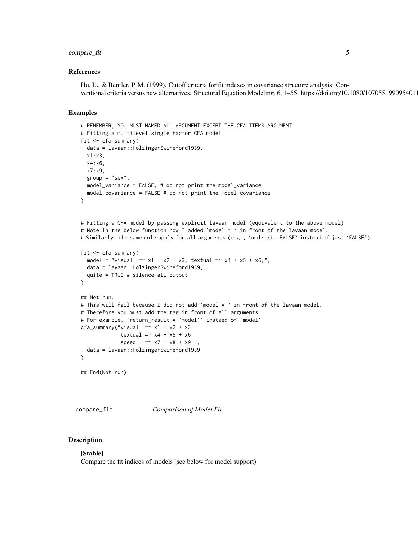#### <span id="page-4-0"></span>compare\_fit 5

#### References

Hu, L., & Bentler, P. M. (1999). Cutoff criteria for fit indexes in covariance structure analysis: Conventional criteria versus new alternatives. Structural Equation Modeling, 6, 1–55. https://doi.org/10.1080/1070551990954011

#### Examples

```
# REMEMBER, YOU MUST NAMED ALL ARGUMENT EXCEPT THE CFA ITEMS ARGUMENT
# Fitting a multilevel single factor CFA model
fit <- cfa_summary(
  data = lavaan::HolzingerSwineford1939,
  x1:x3,
  x4:x6,
  x7:x9,
  group = "sex",model_variance = FALSE, # do not print the model_variance
  model_covariance = FALSE # do not print the model_covariance
)
# Fitting a CFA model by passing explicit lavaan model (equivalent to the above model)
# Note in the below function how I added `model = ` in front of the lavaan model.
# Similarly, the same rule apply for all arguments (e.g., `ordered = FALSE` instead of just `FALSE`)
fit <- cfa_summary(
  model = "visual = x1 + x2 + x3; textual = x4 + x5 + x6;",
  data = lavaan::HolzingerSwineford1939,
  quite = TRUE # silence all output
\lambda## Not run:
# This will fail because I did not add `model = ` in front of the lavaan model.
# Therefore,you must add the tag in front of all arguments
# For example, `return_result = 'model'` instaed of `model`
cfa\_summary("visual = x1 + x2 + x3textual = x4 + x5 + x6speed = x7 + x8 + x9",
  data = lavaan::HolzingerSwineford1939
)
## End(Not run)
```
compare\_fit *Comparison of Model Fit*

#### Description

#### [Stable]

Compare the fit indices of models (see below for model support)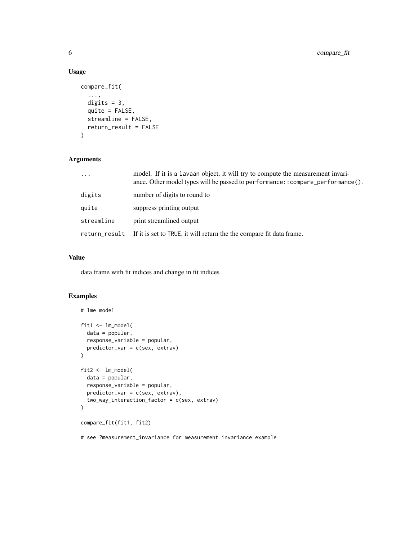#### Usage

```
compare_fit(
  ...,
 digits = 3,
 quite = FALSE,
  streamline = FALSE,
 return_result = FALSE
)
```
#### Arguments

| $\ddotsc$     | model. If it is a lavaan object, it will try to compute the measurement invari-<br>ance. Other model types will be passed to performance: : compare_performance(). |
|---------------|--------------------------------------------------------------------------------------------------------------------------------------------------------------------|
| digits        | number of digits to round to                                                                                                                                       |
| quite         | suppress printing output                                                                                                                                           |
| streamline    | print streamlined output                                                                                                                                           |
| return result | If it is set to TRUE, it will return the the compare fit data frame.                                                                                               |

#### Value

data frame with fit indices and change in fit indices

#### Examples

```
# lme model
fit1 <- lm_model(
 data = popular,
  response_variable = popular,
  predictor_var = c(sex, extrav)
)
fit2 <- lm_model(
  data = popular,
  response_variable = popular,
  predictor_var = c(sex, extrav),
  two_way_interaction_factor = c(sex, extrav)
)
compare_fit(fit1, fit2)
```
# see ?measurement\_invariance for measurement invariance example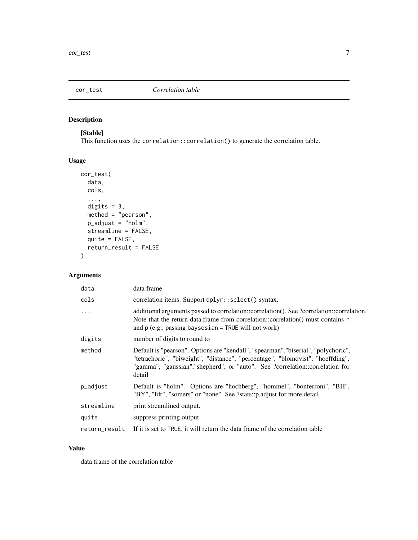<span id="page-6-0"></span>

#### Description

#### [Stable]

This function uses the correlation::correlation() to generate the correlation table.

#### Usage

```
cor_test(
 data,
  cols,
  ...,
 digits = 3,
 method = "pearson",
 p_adjust = "holm",
  streamline = FALSE,
  quite = FALSE,
  return_result = FALSE
)
```
#### Arguments

| data          | data frame                                                                                                                                                                                                                                                      |
|---------------|-----------------------------------------------------------------------------------------------------------------------------------------------------------------------------------------------------------------------------------------------------------------|
| cols          | correlation items. Support dplyr::select() syntax.                                                                                                                                                                                                              |
| .             | additional arguments passed to correlation::correlation(). See ?correlation::correlation.<br>Note that the return data. frame from correlation::correlation() must contains $\mathsf{r}$<br>and $p$ (e.g., passing baysesian = TRUE will not work)              |
| digits        | number of digits to round to                                                                                                                                                                                                                                    |
| method        | Default is "pearson". Options are "kendall", "spearman", "biserial", "polychoric",<br>"tetrachoric", "biweight", "distance", "percentage", "blomqvist", "hoeffding",<br>"gamma", "gaussian", "shepherd", or "auto". See ?correlation::correlation for<br>detail |
| p_adjust      | Default is "holm". Options are "hochberg", "hommel", "bonferroni", "BH",<br>"BY", "fdr", "somers" or "none". See ?stats::p.adjust for more detail                                                                                                               |
| streamline    | print streamlined output.                                                                                                                                                                                                                                       |
| quite         | suppress printing output                                                                                                                                                                                                                                        |
| return_result | If it is set to TRUE, it will return the data frame of the correlation table                                                                                                                                                                                    |

#### Value

data frame of the correlation table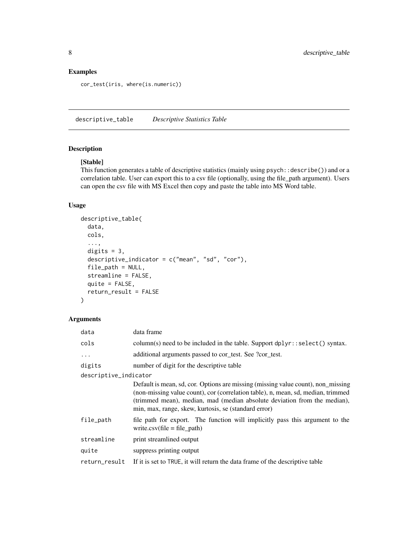#### <span id="page-7-0"></span>Examples

cor\_test(iris, where(is.numeric))

descriptive\_table *Descriptive Statistics Table*

#### Description

#### [Stable]

This function generates a table of descriptive statistics (mainly using psych::describe()) and or a correlation table. User can export this to a csv file (optionally, using the file\_path argument). Users can open the csv file with MS Excel then copy and paste the table into MS Word table.

#### Usage

```
descriptive_table(
  data,
 cols,
  ...,
 digits = 3,
  descriptive_indicator = c("mean", "sd", "cor"),
  file_path = NULL,
  streamline = FALSE,
  quite = FALSE,
  return_result = FALSE
)
```
#### Arguments

| data                  | data frame                                                                                                                                                                                                                                                                                               |
|-----------------------|----------------------------------------------------------------------------------------------------------------------------------------------------------------------------------------------------------------------------------------------------------------------------------------------------------|
| cols                  | column(s) need to be included in the table. Support dplyr::select() syntax.                                                                                                                                                                                                                              |
| $\ddots$              | additional arguments passed to cor_test. See ?cor_test.                                                                                                                                                                                                                                                  |
| digits                | number of digit for the descriptive table                                                                                                                                                                                                                                                                |
| descriptive_indicator |                                                                                                                                                                                                                                                                                                          |
|                       | Default is mean, sd, cor. Options are missing (missing value count), non_missing<br>(non-missing value count), cor (correlation table), n, mean, sd, median, trimmed<br>(trimmed mean), median, mad (median absolute deviation from the median),<br>min, max, range, skew, kurtosis, se (standard error) |
| file_path             | file path for export. The function will implicitly pass this argument to the<br>write.csv(file = file_path)                                                                                                                                                                                              |
| streamline            | print streamlined output                                                                                                                                                                                                                                                                                 |
| quite                 | suppress printing output                                                                                                                                                                                                                                                                                 |
| return_result         | If it is set to TRUE, it will return the data frame of the descriptive table                                                                                                                                                                                                                             |
|                       |                                                                                                                                                                                                                                                                                                          |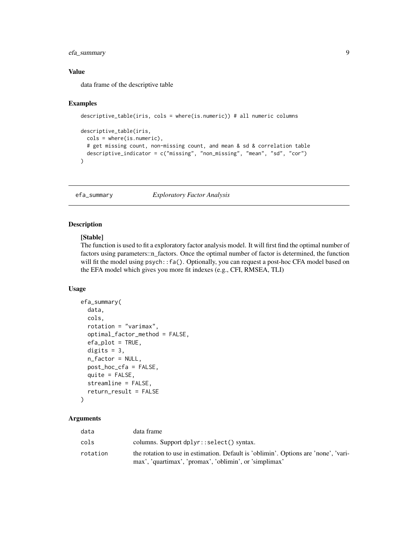#### <span id="page-8-0"></span>efa\_summary 9

#### Value

data frame of the descriptive table

#### Examples

```
descriptive_table(iris, cols = where(is.numeric)) # all numeric columns
descriptive_table(iris,
 cols = where(is.numeric),
 # get missing count, non-missing count, and mean & sd & correlation table
 descriptive_indicator = c("missing", "non_missing", "mean", "sd", "cor")
\lambda
```
efa\_summary *Exploratory Factor Analysis*

#### Description

#### [Stable]

The function is used to fit a exploratory factor analysis model. It will first find the optimal number of factors using parameters::n\_factors. Once the optimal number of factor is determined, the function will fit the model using psych::fa(). Optionally, you can request a post-hoc CFA model based on the EFA model which gives you more fit indexes (e.g., CFI, RMSEA, TLI)

#### Usage

```
efa_summary(
  data,
  cols,
  rotation = "varimax",
  optimal_factor_method = FALSE,
  efa.plot = TRUE,digits = 3,
  n_factor = NULL,
  post_hoc_cfa = FALSE,
  quite = FALSE,streamline = FALSE,
  return_result = FALSE
)
```
#### Arguments

| data     | data frame                                                                                                                                    |
|----------|-----------------------------------------------------------------------------------------------------------------------------------------------|
| cols     | columns. Support dplyr::select() syntax.                                                                                                      |
| rotation | the rotation to use in estimation. Default is 'oblimin'. Options are 'none', 'vari-<br>max', 'quartimax', 'promax', 'oblimin', or 'simplimax' |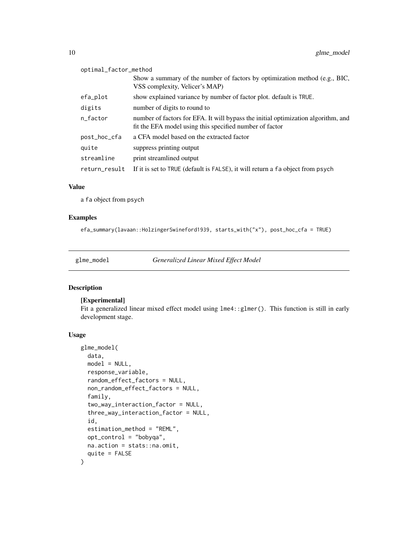<span id="page-9-0"></span>

| optimal_factor_method |                                                                                                                                              |
|-----------------------|----------------------------------------------------------------------------------------------------------------------------------------------|
|                       | Show a summary of the number of factors by optimization method (e.g., BIC,<br>VSS complexity, Velicer's MAP)                                 |
| efa_plot              | show explained variance by number of factor plot. default is TRUE.                                                                           |
| digits                | number of digits to round to                                                                                                                 |
| n factor              | number of factors for EFA. It will bypass the initial optimization algorithm, and<br>fit the EFA model using this specified number of factor |
| post_hoc_cfa          | a CFA model based on the extracted factor                                                                                                    |
| quite                 | suppress printing output                                                                                                                     |
| streamline            | print streamlined output                                                                                                                     |
| return_result         | If it is set to TRUE (default is FALSE), it will return a fa object from psych                                                               |

#### Value

a fa object from psych

#### Examples

efa\_summary(lavaan::HolzingerSwineford1939, starts\_with("x"), post\_hoc\_cfa = TRUE)

glme\_model *Generalized Linear Mixed Effect Model*

#### Description

#### [Experimental]

Fit a generalized linear mixed effect model using  $l$ me4::glmer(). This function is still in early development stage.

#### Usage

```
glme_model(
  data,
 model = NULL,response_variable,
  random_effect_factors = NULL,
  non_random_effect_factors = NULL,
  family,
  two_way_interaction_factor = NULL,
  three_way_interaction_factor = NULL,
  id,
  estimation_method = "REML",
  opt_control = "bobyqa",
 na.action = stats::na.omit,
  quite = FALSE
\mathcal{E}
```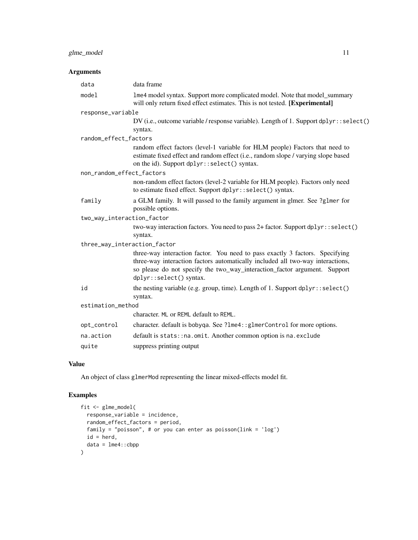#### glme\_model 11

#### Arguments

| data                         | data frame                                                                                                                                                                                                                                                             |  |
|------------------------------|------------------------------------------------------------------------------------------------------------------------------------------------------------------------------------------------------------------------------------------------------------------------|--|
| model                        | 1me4 model syntax. Support more complicated model. Note that model_summary<br>will only return fixed effect estimates. This is not tested. [Experimental]                                                                                                              |  |
| response_variable            |                                                                                                                                                                                                                                                                        |  |
|                              | DV (i.e., outcome variable / response variable). Length of 1. Support dplyr::select()                                                                                                                                                                                  |  |
|                              | syntax.                                                                                                                                                                                                                                                                |  |
| random_effect_factors        |                                                                                                                                                                                                                                                                        |  |
|                              | random effect factors (level-1 variable for HLM people) Factors that need to<br>estimate fixed effect and random effect (i.e., random slope / varying slope based<br>on the id). Support dplyr::select() syntax.                                                       |  |
| non_random_effect_factors    |                                                                                                                                                                                                                                                                        |  |
|                              | non-random effect factors (level-2 variable for HLM people). Factors only need<br>to estimate fixed effect. Support dplyr::select() syntax.                                                                                                                            |  |
| family                       | a GLM family. It will passed to the family argument in glmer. See ?glmer for<br>possible options.                                                                                                                                                                      |  |
| two_way_interaction_factor   |                                                                                                                                                                                                                                                                        |  |
|                              | two-way interaction factors. You need to pass 2+ factor. Support dplyr::select()<br>syntax.                                                                                                                                                                            |  |
| three_way_interaction_factor |                                                                                                                                                                                                                                                                        |  |
|                              | three-way interaction factor. You need to pass exactly 3 factors. Specifying<br>three-way interaction factors automatically included all two-way interactions,<br>so please do not specify the two_way_interaction_factor argument. Support<br>dplyr::select() syntax. |  |
| id                           | the nesting variable (e.g. group, time). Length of 1. Support dplyr::select()<br>syntax.                                                                                                                                                                               |  |
| estimation_method            |                                                                                                                                                                                                                                                                        |  |
|                              | character. ML or REML default to REML.                                                                                                                                                                                                                                 |  |
| opt_control                  | character. default is bobyqa. See ?lme4:: glmerControl for more options.                                                                                                                                                                                               |  |
| na.action                    | default is stats:: na. omit. Another common option is na. exclude                                                                                                                                                                                                      |  |
| quite                        | suppress printing output                                                                                                                                                                                                                                               |  |

#### Value

An object of class glmerMod representing the linear mixed-effects model fit.

```
fit <- glme_model(
  response_variable = incidence,
  random_effect_factors = period,
  family = "poisson", # or you can enter as poisson(link = 'log')
  id = herd,data = lme4::cbpp
)
```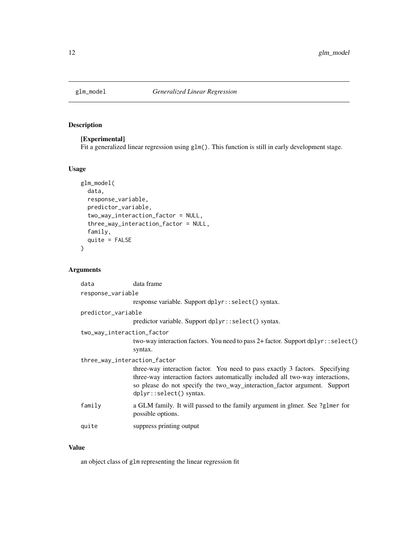<span id="page-11-0"></span>

#### Description

#### [Experimental]

Fit a generalized linear regression using glm(). This function is still in early development stage.

#### Usage

```
glm_model(
 data,
  response_variable,
 predictor_variable,
  two_way_interaction_factor = NULL,
  three_way_interaction_factor = NULL,
  family,
  quite = FALSE
\mathcal{L}
```
#### Arguments

| data                         | data frame                                                                                                                                                                                                                                                             |  |
|------------------------------|------------------------------------------------------------------------------------------------------------------------------------------------------------------------------------------------------------------------------------------------------------------------|--|
| response_variable            |                                                                                                                                                                                                                                                                        |  |
|                              | response variable. Support dplyr::select() syntax.                                                                                                                                                                                                                     |  |
| predictor_variable           |                                                                                                                                                                                                                                                                        |  |
|                              | predictor variable. Support dplyr::select() syntax.                                                                                                                                                                                                                    |  |
| two_way_interaction_factor   |                                                                                                                                                                                                                                                                        |  |
|                              | two-way interaction factors. You need to pass 2+ factor. Support dplyr::select()<br>syntax.                                                                                                                                                                            |  |
| three_way_interaction_factor |                                                                                                                                                                                                                                                                        |  |
|                              | three-way interaction factor. You need to pass exactly 3 factors. Specifying<br>three-way interaction factors automatically included all two-way interactions,<br>so please do not specify the two_way_interaction_factor argument. Support<br>dplyr::select() syntax. |  |
| family                       | a GLM family. It will passed to the family argument in glmer. See ?glmer for<br>possible options.                                                                                                                                                                      |  |
| quite                        | suppress printing output                                                                                                                                                                                                                                               |  |

#### Value

an object class of glm representing the linear regression fit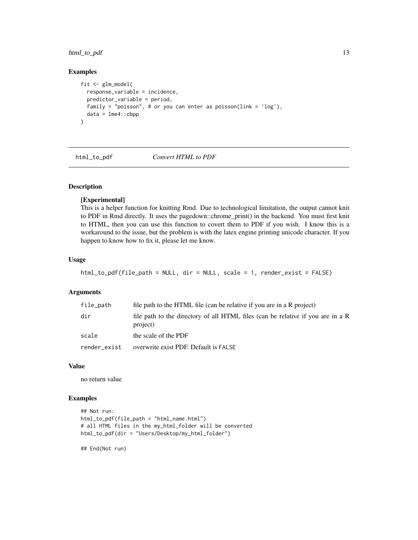#### <span id="page-12-0"></span>html\_to\_pdf 13

#### Examples

```
fit <- glm_model(
  response_variable = incidence,
  predictor_variable = period,
  family = "poisson", # or you can enter as poisson(link = 'log'),
  data = Ime4::cbpp)
```
html\_to\_pdf *Convert HTML to PDF*

#### Description

#### [Experimental]

This is a helper function for knitting Rmd. Due to technological limitation, the output cannot knit to PDF in Rmd directly. It uses the pagedown::chrome\_print() in the backend. You must first knit to HTML, then you can use this function to covert them to PDF if you wish. I know this is a workaround to the issue, but the problem is with the latex engine printing unicode character. If you happen to know how to fix it, please let me know.

#### Usage

```
html_to_pdf(file_path = NULL, dir = NULL, scale = 1, render_exist = FALSE)
```
#### Arguments

| file_path    | file path to the HTML file (can be relative if you are in a R project)                      |
|--------------|---------------------------------------------------------------------------------------------|
| dir          | file path to the directory of all HTML files (can be relative if you are in a R<br>project) |
| scale        | the scale of the PDF                                                                        |
| render exist | overwrite exist PDF. Default is FALSE                                                       |

#### Value

no return value

#### Examples

```
## Not run:
html_to_pdf(file_path = "html_name.html")
# all HTML files in the my_html_folder will be converted
html_to_pdf(dir = "Users/Desktop/my_html_folder")
```
## End(Not run)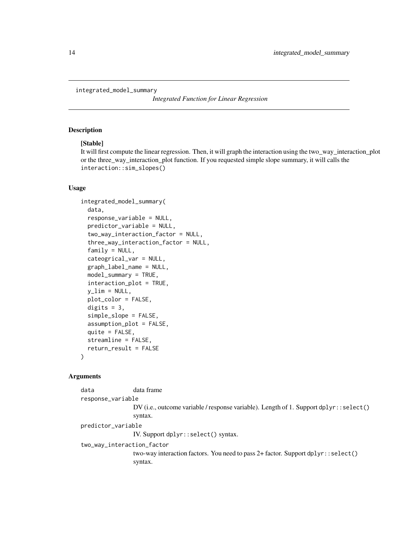<span id="page-13-0"></span>integrated\_model\_summary

*Integrated Function for Linear Regression*

#### Description

#### [Stable]

It will first compute the linear regression. Then, it will graph the interaction using the two\_way\_interaction\_plot or the three\_way\_interaction\_plot function. If you requested simple slope summary, it will calls the interaction::sim\_slopes()

#### Usage

```
integrated_model_summary(
  data,
  response_variable = NULL,
  predictor_variable = NULL,
  two_way_interaction_factor = NULL,
  three_way_interaction_factor = NULL,
  family = NULL,
  cateogrical_var = NULL,
  graph_label_name = NULL,
 model_summary = TRUE,
  interaction_plot = TRUE,
  y<sup>-</sup>lim = NULL,
 plot_color = FALSE,
  digits = 3,
  simple_slope = FALSE,
  assumption_plot = FALSE,
  quite = FALSE,
  streamline = FALSE,
  return_result = FALSE
)
```
#### Arguments

data data frame response\_variable DV (i.e., outcome variable / response variable). Length of 1. Support dplyr::select() syntax. predictor\_variable IV. Support dplyr::select() syntax. two\_way\_interaction\_factor two-way interaction factors. You need to pass 2+ factor. Support dplyr::select() syntax.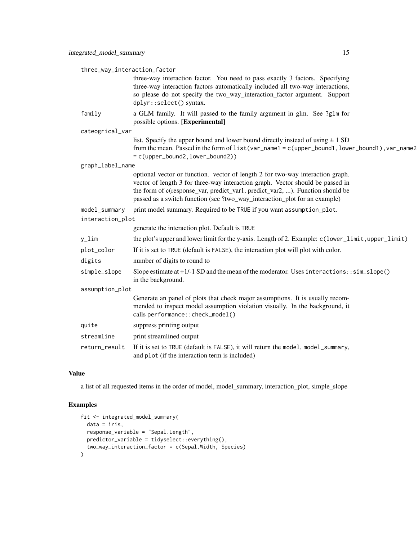| three_way_interaction_factor |                                                                                                                                                                                                                                                                                                                                 |  |
|------------------------------|---------------------------------------------------------------------------------------------------------------------------------------------------------------------------------------------------------------------------------------------------------------------------------------------------------------------------------|--|
|                              | three-way interaction factor. You need to pass exactly 3 factors. Specifying<br>three-way interaction factors automatically included all two-way interactions,<br>so please do not specify the two_way_interaction_factor argument. Support<br>dplyr::select() syntax.                                                          |  |
| family                       | a GLM family. It will passed to the family argument in glm. See ?glm for<br>possible options. [Experimental]                                                                                                                                                                                                                    |  |
| cateogrical_var              |                                                                                                                                                                                                                                                                                                                                 |  |
|                              | list. Specify the upper bound and lower bound directly instead of using $\pm 1$ SD<br>from the mean. Passed in the form of list (var_name1 = c(upper_bound1, lower_bound1), var_name2<br>= c(upper_bound2, lower_bound2))                                                                                                       |  |
| graph_label_name             |                                                                                                                                                                                                                                                                                                                                 |  |
|                              | optional vector or function. vector of length 2 for two-way interaction graph.<br>vector of length 3 for three-way interaction graph. Vector should be passed in<br>the form of c(response_var, predict_var1, predict_var2, ). Function should be<br>passed as a switch function (see ?two_way_interaction_plot for an example) |  |
| model_summary                | print model summary. Required to be TRUE if you want assumption_plot.                                                                                                                                                                                                                                                           |  |
| interaction_plot             |                                                                                                                                                                                                                                                                                                                                 |  |
|                              | generate the interaction plot. Default is TRUE                                                                                                                                                                                                                                                                                  |  |
| $y_l$ im                     | the plot's upper and lower limit for the y-axis. Length of 2. Example: c(lower_limit, upper_limit)                                                                                                                                                                                                                              |  |
| plot_color                   | If it is set to TRUE (default is FALSE), the interaction plot will plot with color.                                                                                                                                                                                                                                             |  |
| digits                       | number of digits to round to                                                                                                                                                                                                                                                                                                    |  |
| simple_slope                 | Slope estimate at $+1/1$ SD and the mean of the moderator. Uses interactions: : $sim\_slope()$<br>in the background.                                                                                                                                                                                                            |  |
| assumption_plot              |                                                                                                                                                                                                                                                                                                                                 |  |
|                              | Generate an panel of plots that check major assumptions. It is usually recom-<br>mended to inspect model assumption violation visually. In the background, it<br>calls performance:: check_model()                                                                                                                              |  |
| quite                        | suppress printing output                                                                                                                                                                                                                                                                                                        |  |
| streamline                   | print streamlined output                                                                                                                                                                                                                                                                                                        |  |
| return_result                | If it is set to TRUE (default is FALSE), it will return the model, model_summary,<br>and plot (if the interaction term is included)                                                                                                                                                                                             |  |

#### Value

a list of all requested items in the order of model, model\_summary, interaction\_plot, simple\_slope

```
fit <- integrated_model_summary(
  data = iris,
  response_variable = "Sepal.Length",
  predictor_variable = tidyselect::everything(),
  two_way_interaction_factor = c(Sepal.Width, Species)
\overline{)}
```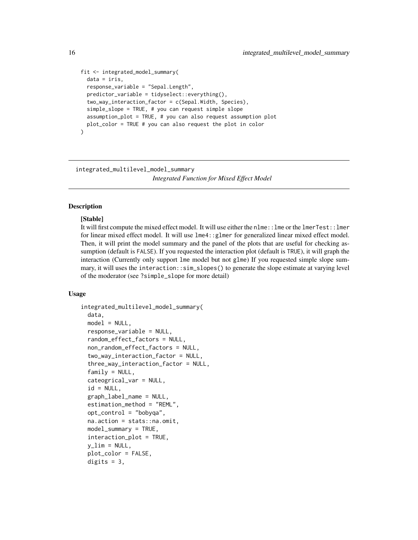```
fit <- integrated_model_summary(
 data = iris,
 response_variable = "Sepal.Length",
 predictor_variable = tidyselect::everything(),
 two_way_interaction_factor = c(Sepal.Width, Species),
 simple_slope = TRUE, # you can request simple slope
 assumption_plot = TRUE, # you can also request assumption plot
 plot_color = TRUE # you can also request the plot in color
\lambda
```
integrated\_multilevel\_model\_summary

*Integrated Function for Mixed Effect Model*

#### Description

#### [Stable]

It will first compute the mixed effect model. It will use either the nlme::lme or the lmerTest::lmer for linear mixed effect model. It will use lme4::glmer for generalized linear mixed effect model. Then, it will print the model summary and the panel of the plots that are useful for checking assumption (default is FALSE). If you requested the interaction plot (default is TRUE), it will graph the interaction (Currently only support lme model but not glme) If you requested simple slope summary, it will uses the interaction::sim\_slopes() to generate the slope estimate at varying level of the moderator (see ?simple\_slope for more detail)

#### Usage

```
integrated_multilevel_model_summary(
 data,
 model = NULL,
  response_variable = NULL,
  random_effect_factors = NULL,
  non_random_effect_factors = NULL,
  two_way_interaction_factor = NULL,
  three_way_interaction_factor = NULL,
  family = NULL,cateogrical_var = NULL,
  id = NULL,graph_label_name = NULL,
  estimation_method = "REML",
  opt_control = "bobyqa",
  na.action = stats::na.omit,
 model_summary = TRUE,
  interaction_plot = TRUE,
  y<sup>lim =</sup> NULL,
  plot_color = FALSE,
  digits = 3,
```
<span id="page-15-0"></span>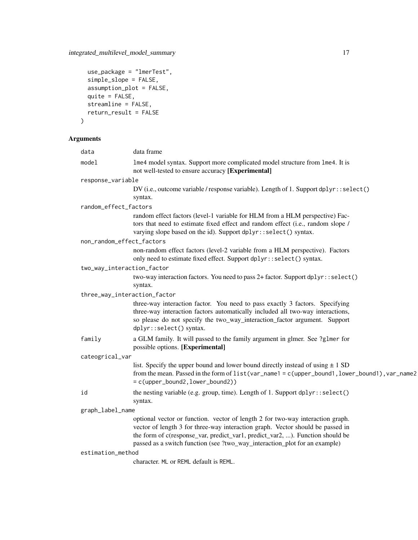```
use_package = "lmerTest",
 simple_slope = FALSE,
 \frac{1}{2} assumption_plot = FALSE,
 quite = FALSE,
 streamline = FALSE,
 return_result = FALSE
)
```
### Arguments

| data              | data frame                                                                                                                                                                                                                                                                                                                      |
|-------------------|---------------------------------------------------------------------------------------------------------------------------------------------------------------------------------------------------------------------------------------------------------------------------------------------------------------------------------|
| model             | lme4 model syntax. Support more complicated model structure from lme4. It is<br>not well-tested to ensure accuracy [Experimental]                                                                                                                                                                                               |
| response_variable |                                                                                                                                                                                                                                                                                                                                 |
|                   | DV (i.e., outcome variable / response variable). Length of 1. Support dplyr::select()<br>syntax.                                                                                                                                                                                                                                |
|                   | random_effect_factors                                                                                                                                                                                                                                                                                                           |
|                   | random effect factors (level-1 variable for HLM from a HLM perspective) Fac-<br>tors that need to estimate fixed effect and random effect (i.e., random slope /<br>varying slope based on the id). Support dplyr::select() syntax.                                                                                              |
|                   | non_random_effect_factors                                                                                                                                                                                                                                                                                                       |
|                   | non-random effect factors (level-2 variable from a HLM perspective). Factors<br>only need to estimate fixed effect. Support dplyr::select() syntax.                                                                                                                                                                             |
|                   | two_way_interaction_factor                                                                                                                                                                                                                                                                                                      |
|                   | two-way interaction factors. You need to pass 2+ factor. Support dplyr::select()<br>syntax.                                                                                                                                                                                                                                     |
|                   | three_way_interaction_factor                                                                                                                                                                                                                                                                                                    |
|                   | three-way interaction factor. You need to pass exactly 3 factors. Specifying<br>three-way interaction factors automatically included all two-way interactions,<br>so please do not specify the two_way_interaction_factor argument. Support<br>dplyr::select() syntax.                                                          |
| family            | a GLM family. It will passed to the family argument in glmer. See ?glmer for<br>possible options. [Experimental]                                                                                                                                                                                                                |
| cateogrical_var   |                                                                                                                                                                                                                                                                                                                                 |
|                   | list. Specify the upper bound and lower bound directly instead of using $\pm 1$ SD<br>from the mean. Passed in the form of list(var_name1 = c(upper_bound1, lower_bound1), var_name2<br>$= c(upper_bound2, lower_bound2))$                                                                                                      |
| id                | the nesting variable (e.g. group, time). Length of 1. Support dplyr::select()<br>syntax.                                                                                                                                                                                                                                        |
| graph_label_name  |                                                                                                                                                                                                                                                                                                                                 |
|                   | optional vector or function. vector of length 2 for two-way interaction graph.<br>vector of length 3 for three-way interaction graph. Vector should be passed in<br>the form of c(response_var, predict_var1, predict_var2, ). Function should be<br>passed as a switch function (see ?two_way_interaction_plot for an example) |
| estimation_method |                                                                                                                                                                                                                                                                                                                                 |
|                   | character. ML or REML default is REML.                                                                                                                                                                                                                                                                                          |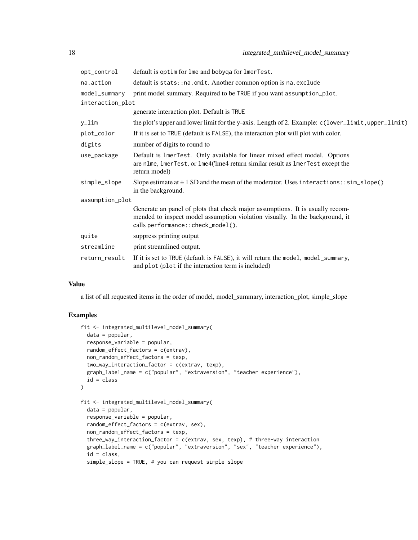| opt_control      | default is optim for lme and bobyqa for lmerTest.                                                                                                                                                   |  |
|------------------|-----------------------------------------------------------------------------------------------------------------------------------------------------------------------------------------------------|--|
| na.action        | default is stats: : na. omit. Another common option is na. exclude                                                                                                                                  |  |
| model_summary    | print model summary. Required to be TRUE if you want assumption_plot.                                                                                                                               |  |
| interaction_plot |                                                                                                                                                                                                     |  |
|                  | generate interaction plot. Default is TRUE                                                                                                                                                          |  |
| y_lim            | the plot's upper and lower limit for the y-axis. Length of 2. Example: c(lower_limit, upper_limit)                                                                                                  |  |
| plot_color       | If it is set to TRUE (default is FALSE), the interaction plot will plot with color.                                                                                                                 |  |
| digits           | number of digits to round to                                                                                                                                                                        |  |
| use_package      | Default is 1merTest. Only available for linear mixed effect model. Options<br>are nlme, lmerTest, or lme4('lme4 return similar result as lmerTest except the<br>return model)                       |  |
| simple_slope     | Slope estimate at $\pm$ 1 SD and the mean of the moderator. Uses interactions: : $sim\_slope()$<br>in the background.                                                                               |  |
| assumption_plot  |                                                                                                                                                                                                     |  |
|                  | Generate an panel of plots that check major assumptions. It is usually recom-<br>mended to inspect model assumption violation visually. In the background, it<br>calls performance:: check_model(). |  |
| quite            | suppress printing output                                                                                                                                                                            |  |
| streamline       | print streamlined output.                                                                                                                                                                           |  |
| return_result    | If it is set to TRUE (default is FALSE), it will return the model, model_summary,<br>and plot (plot if the interaction term is included)                                                            |  |

#### Value

a list of all requested items in the order of model, model\_summary, interaction\_plot, simple\_slope

```
fit <- integrated_multilevel_model_summary(
  data = popular,
  response_variable = popular,
  random_effect_factors = c(extrav),
  non_random_effect_factors = texp,
  two_way_interaction_factor = c(extrav, texp),
  graph_label_name = c("popular", "extraversion", "teacher experience"),
  id = class
\lambdafit <- integrated_multilevel_model_summary(
  data = popular,
  response_variable = popular,
  random_effect_factors = c(extrav, sex),
  non_random_effect_factors = texp,
  three_way_interaction_factor = c(extrav, sex, texp), # three-way interaction
  graph_label_name = c("popular", "extraversion", "sex", "teacher experience"),
  id = class,simple_slope = TRUE, # you can request simple slope
```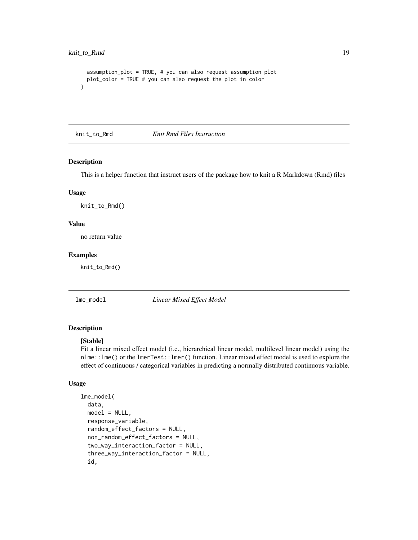```
assumption_plot = TRUE, # you can also request assumption plot
 plot_color = TRUE # you can also request the plot in color
)
```
knit\_to\_Rmd *Knit Rmd Files Instruction*

#### Description

This is a helper function that instruct users of the package how to knit a R Markdown (Rmd) files

#### Usage

knit\_to\_Rmd()

#### Value

no return value

#### Examples

knit\_to\_Rmd()

lme\_model *Linear Mixed Effect Model*

#### Description

#### [Stable]

Fit a linear mixed effect model (i.e., hierarchical linear model, multilevel linear model) using the nlme::lme() or the lmerTest::lmer() function. Linear mixed effect model is used to explore the effect of continuous / categorical variables in predicting a normally distributed continuous variable.

#### Usage

```
lme_model(
  data,
  model = NULL,response_variable,
  random_effect_factors = NULL,
  non_random_effect_factors = NULL,
  two_way_interaction_factor = NULL,
  three_way_interaction_factor = NULL,
  id,
```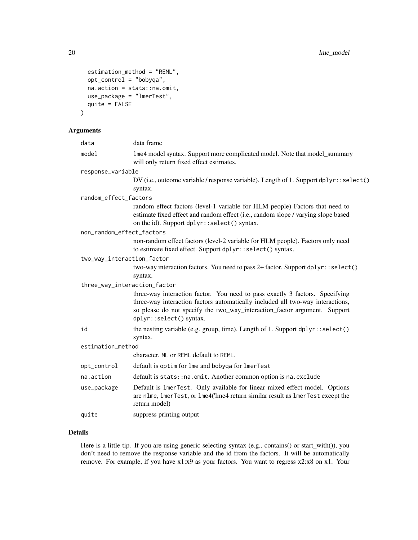```
estimation_method = "REML",
 opt_control = "bobyqa",
 na.action = stats::na.omit,
 use_package = "lmerTest",
 quite = FALSE
)
```
#### Arguments

| data                         | data frame                                                                                                                                                                                                                                                             |
|------------------------------|------------------------------------------------------------------------------------------------------------------------------------------------------------------------------------------------------------------------------------------------------------------------|
| model                        | 1me4 model syntax. Support more complicated model. Note that model_summary<br>will only return fixed effect estimates.                                                                                                                                                 |
| response_variable            |                                                                                                                                                                                                                                                                        |
|                              | DV (i.e., outcome variable / response variable). Length of 1. Support dplyr::select()<br>syntax.                                                                                                                                                                       |
| random_effect_factors        |                                                                                                                                                                                                                                                                        |
|                              | random effect factors (level-1 variable for HLM people) Factors that need to<br>estimate fixed effect and random effect (i.e., random slope / varying slope based<br>on the id). Support dplyr::select() syntax.                                                       |
| non_random_effect_factors    |                                                                                                                                                                                                                                                                        |
|                              | non-random effect factors (level-2 variable for HLM people). Factors only need<br>to estimate fixed effect. Support dplyr::select() syntax.                                                                                                                            |
| two_way_interaction_factor   |                                                                                                                                                                                                                                                                        |
|                              | two-way interaction factors. You need to pass 2+ factor. Support dplyr::select()<br>syntax.                                                                                                                                                                            |
| three_way_interaction_factor |                                                                                                                                                                                                                                                                        |
|                              | three-way interaction factor. You need to pass exactly 3 factors. Specifying<br>three-way interaction factors automatically included all two-way interactions,<br>so please do not specify the two_way_interaction_factor argument. Support<br>dplyr::select() syntax. |
| id                           | the nesting variable (e.g. group, time). Length of 1. Support dplyr::select()<br>syntax.                                                                                                                                                                               |
| estimation_method            |                                                                                                                                                                                                                                                                        |
|                              | character. ML or REML default to REML.                                                                                                                                                                                                                                 |
| opt_control                  | default is optim for lme and bobyqa for lmerTest                                                                                                                                                                                                                       |
| na.action                    | default is stats:: na.omit. Another common option is na.exclude                                                                                                                                                                                                        |
| use_package                  | Default is 1merTest. Only available for linear mixed effect model. Options<br>are nlme, lmerTest, or lme4('lme4 return similar result as lmerTest except the<br>return model)                                                                                          |
| quite                        | suppress printing output                                                                                                                                                                                                                                               |
|                              |                                                                                                                                                                                                                                                                        |

#### Details

Here is a little tip. If you are using generic selecting syntax (e.g., contains() or start\_with()), you don't need to remove the response variable and the id from the factors. It will be automatically remove. For example, if you have x1:x9 as your factors. You want to regress x2:x8 on x1. Your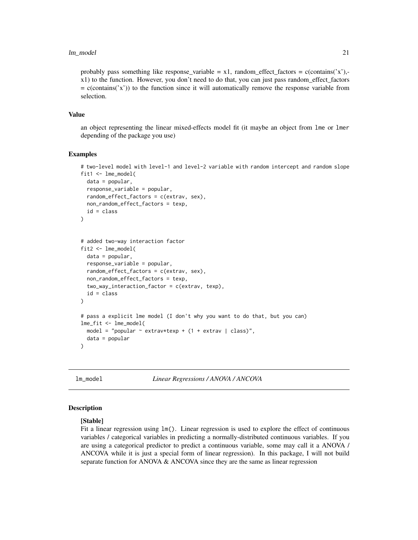#### <span id="page-20-0"></span>lm\_model 21

probably pass something like response\_variable =  $x1$ , random\_effect\_factors = c(contains('x'),x1) to the function. However, you don't need to do that, you can just pass random\_effect\_factors  $=$  c(contains( $'x'$ )) to the function since it will automatically remove the response variable from selection.

#### Value

an object representing the linear mixed-effects model fit (it maybe an object from lme or lmer depending of the package you use)

#### Examples

```
# two-level model with level-1 and level-2 variable with random intercept and random slope
fit1 <- lme_model(
  data = popular,response_variable = popular,
  random_effect_factors = c(extrav, sex),
  non_random_effect_factors = texp,
  id = class
)
# added two-way interaction factor
fit2 <- lme_model(
  data = popular,
  response_variable = popular,
  random_effect_factors = c(extrav, sex),
  non_random_effect_factors = texp,
  two_way_interaction_factor = c(extrav, texp),
  id = class
)
# pass a explicit lme model (I don't why you want to do that, but you can)
lme_fit <- lme_model(
  model = "popular \sim extrav*texp + (1 + extrav | class)",
  data = popular
)
```
lm\_model *Linear Regressions / ANOVA / ANCOVA*

#### Description

#### [Stable]

Fit a linear regression using  $lm()$ . Linear regression is used to explore the effect of continuous variables / categorical variables in predicting a normally-distributed continuous variables. If you are using a categorical predictor to predict a continuous variable, some may call it a ANOVA / ANCOVA while it is just a special form of linear regression). In this package, I will not build separate function for ANOVA & ANCOVA since they are the same as linear regression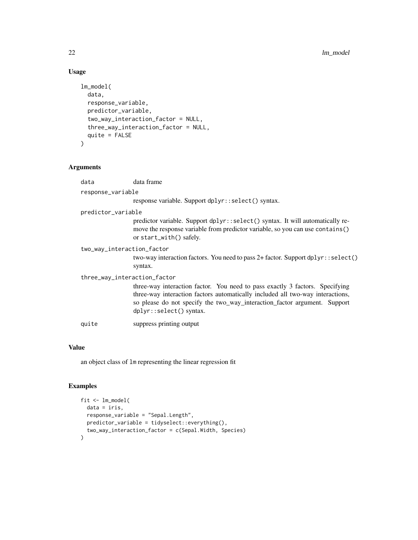#### Usage

```
lm_model(
  data,
  response_variable,
 predictor_variable,
  two_way_interaction_factor = NULL,
  three_way_interaction_factor = NULL,
 quite = FALSE
)
```
#### Arguments

| data                         | data frame                                                                                                                                                                                                                                                             |  |
|------------------------------|------------------------------------------------------------------------------------------------------------------------------------------------------------------------------------------------------------------------------------------------------------------------|--|
| response_variable            |                                                                                                                                                                                                                                                                        |  |
|                              | response variable. Support dplyr::select() syntax.                                                                                                                                                                                                                     |  |
| predictor_variable           |                                                                                                                                                                                                                                                                        |  |
|                              | predictor variable. Support dplyr::select() syntax. It will automatically re-<br>move the response variable from predictor variable, so you can use contains()<br>or start_with() safely.                                                                              |  |
| two_way_interaction_factor   | two-way interaction factors. You need to pass 2+ factor. Support dplyr::select()<br>syntax.                                                                                                                                                                            |  |
| three_way_interaction_factor | three-way interaction factor. You need to pass exactly 3 factors. Specifying<br>three-way interaction factors automatically included all two-way interactions,<br>so please do not specify the two_way_interaction_factor argument. Support<br>dplyr::select() syntax. |  |
| quite                        | suppress printing output                                                                                                                                                                                                                                               |  |

#### Value

an object class of lm representing the linear regression fit

```
fit <- lm_model(
  data = iris,
  response_variable = "Sepal.Length",
  predictor_variable = tidyselect::everything(),
  two_way_interaction_factor = c(Sepal.Width, Species)
\mathcal{L}
```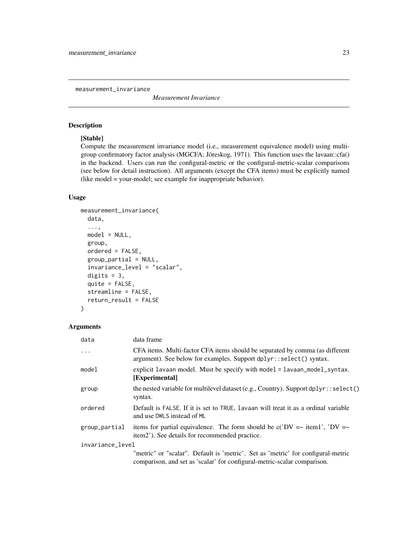<span id="page-22-0"></span>measurement\_invariance

*Measurement Invariance*

#### Description

#### [Stable]

Compute the measurement invariance model (i.e., measurement equivalence model) using multigroup confirmatory factor analysis (MGCFA; Jöreskog, 1971). This function uses the lavaan::cfa() in the backend. Users can run the configural-metric or the configural-metric-scalar comparisons (see below for detail instruction). All arguments (except the CFA items) must be explicitly named (like model = your-model; see example for inappropriate behavior).

#### Usage

```
measurement_invariance(
  data,
  ...,
 model = NULL,group,
  ordered = FALSE,
  group_partial = NULL,
  invariance_level = "scalar",
  digits = 3,
  quite = FALSE,streamline = FALSE,
  return_result = FALSE
\lambda
```
#### Arguments

| data             | data frame                                                                                                                                                   |
|------------------|--------------------------------------------------------------------------------------------------------------------------------------------------------------|
| $\ddotsc$        | CFA items. Multi-factor CFA items should be separated by comma (as different<br>argument). See below for examples. Support dplyr::select() syntax.           |
| model            | explicit lavaan model. Must be specify with model = lavaan_model_syntax.<br>[Experimental]                                                                   |
| group            | the nested variable for multilevel dataset (e.g., Country). Support dplyr: : select()<br>syntax.                                                             |
| ordered          | Default is FALSE. If it is set to TRUE, lavaan will treat it as a ordinal variable<br>and use DWLS instead of ML                                             |
| group_partial    | items for partial equivalence. The form should be $c('DV = -item1', 'DV = -$<br>item2'). See details for recommended practice.                               |
| invariance_level |                                                                                                                                                              |
|                  | "metric" or "scalar". Default is 'metric'. Set as 'metric' for configural-metric<br>comparison, and set as 'scalar' for configural-metric-scalar comparison. |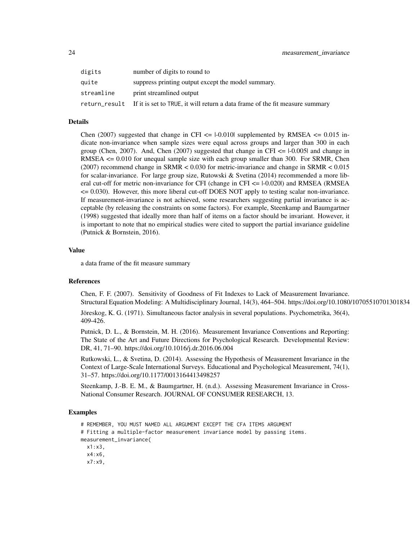| digits        | number of digits to round to                                                 |
|---------------|------------------------------------------------------------------------------|
| auite         | suppress printing output except the model summary.                           |
| streamline    | print streamlined output                                                     |
| return_result | If it is set to TRUE, it will return a data frame of the fit measure summary |

#### Details

Chen (2007) suggested that change in CFI  $\leq$  1-0.010 supplemented by RMSEA  $\leq$  0.015 indicate non-invariance when sample sizes were equal across groups and larger than 300 in each group (Chen, 2007). And, Chen (2007) suggested that change in CFI  $\leq$  1-0.005 and change in RMSEA <= 0.010 for unequal sample size with each group smaller than 300. For SRMR, Chen (2007) recommend change in SRMR < 0.030 for metric-invariance and change in SRMR < 0.015 for scalar-invariance. For large group size, Rutowski & Svetina (2014) recommended a more liberal cut-off for metric non-invariance for CFI (change in CFI  $\leq$  1-0.020) and RMSEA (RMSEA <= 0.030). However, this more liberal cut-off DOES NOT apply to testing scalar non-invariance. If measurement-invariance is not achieved, some researchers suggesting partial invariance is acceptable (by releasing the constraints on some factors). For example, Steenkamp and Baumgartner (1998) suggested that ideally more than half of items on a factor should be invariant. However, it is important to note that no empirical studies were cited to support the partial invariance guideline (Putnick & Bornstein, 2016).

#### Value

a data frame of the fit measure summary

#### References

Chen, F. F. (2007). Sensitivity of Goodness of Fit Indexes to Lack of Measurement Invariance. Structural Equation Modeling: A Multidisciplinary Journal, 14(3), 464–504. https://doi.org/10.1080/10705510701301834

Jöreskog, K. G. (1971). Simultaneous factor analysis in several populations. Psychometrika, 36(4), 409-426.

Putnick, D. L., & Bornstein, M. H. (2016). Measurement Invariance Conventions and Reporting: The State of the Art and Future Directions for Psychological Research. Developmental Review: DR, 41, 71–90. https://doi.org/10.1016/j.dr.2016.06.004

Rutkowski, L., & Svetina, D. (2014). Assessing the Hypothesis of Measurement Invariance in the Context of Large-Scale International Surveys. Educational and Psychological Measurement, 74(1), 31–57. https://doi.org/10.1177/0013164413498257

Steenkamp, J.-B. E. M., & Baumgartner, H. (n.d.). Assessing Measurement Invariance in Cross-National Consumer Research. JOURNAL OF CONSUMER RESEARCH, 13.

```
# REMEMBER, YOU MUST NAMED ALL ARGUMENT EXCEPT THE CFA ITEMS ARGUMENT
# Fitting a multiple-factor measurement invariance model by passing items.
measurement_invariance(
 x1:x3,
 x4:x6,
 x7:x9,
```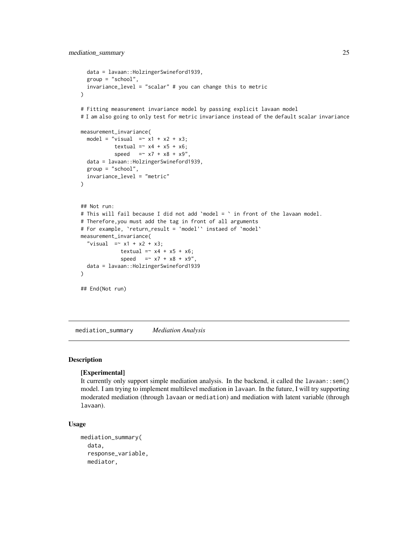```
data = lavaan::HolzingerSwineford1939,
  group = "school",
  invariance_level = "scalar" # you can change this to metric
)
# Fitting measurement invariance model by passing explicit lavaan model
# I am also going to only test for metric invariance instead of the default scalar invariance
measurement_invariance(
  model = "visual = x1 + x2 + x3;
           textual = x4 + x5 + x6;
           speed = x7 + x8 + x9",
  data = lavaan::HolzingerSwineford1939,
  group = "school",
  invariance_level = "metric"
)
## Not run:
# This will fail because I did not add `model = ` in front of the lavaan model.
# Therefore,you must add the tag in front of all arguments
# For example, `return_result = 'model'` instaed of `model`
measurement_invariance(
  "visual = x1 + x2 + x3;
             textual = x4 + x5 + x6;
             speed = x7 + x8 + x9"
  data = lavaan::HolzingerSwineford1939
)
## End(Not run)
```
mediation\_summary *Mediation Analysis*

#### **Description**

#### [Experimental]

It currently only support simple mediation analysis. In the backend, it called the lavaan::sem() model. I am trying to implement multilevel mediation in lavaan. In the future, I will try supporting moderated mediation (through lavaan or mediation) and mediation with latent variable (through lavaan).

#### Usage

```
mediation_summary(
  data,
  response_variable,
  mediator,
```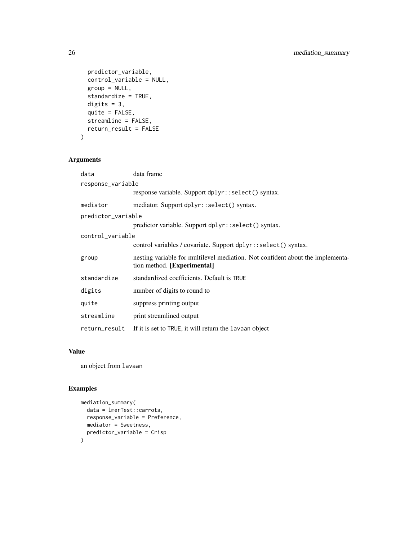```
predictor_variable,
 control_variable = NULL,
 group = NULL,standardize = TRUE,
 digits = 3,
 quite = FALSE,
 streamline = FALSE,
 return_result = FALSE
)
```
#### Arguments

| data               | data frame                                                                                                    |  |
|--------------------|---------------------------------------------------------------------------------------------------------------|--|
| response_variable  |                                                                                                               |  |
|                    | response variable. Support dplyr::select() syntax.                                                            |  |
| mediator           | mediator. Support dplyr::select() syntax.                                                                     |  |
| predictor_variable |                                                                                                               |  |
|                    | predictor variable. Support dplyr::select() syntax.                                                           |  |
| control variable   |                                                                                                               |  |
|                    | control variables / covariate. Support dplyr::select() syntax.                                                |  |
| group              | nesting variable for multilevel mediation. Not confident about the implementa-<br>tion method. [Experimental] |  |
| standardize        | standardized coefficients. Default is TRUE                                                                    |  |
| digits             | number of digits to round to                                                                                  |  |
| quite              | suppress printing output                                                                                      |  |
| streamline         | print streamlined output                                                                                      |  |
| return_result      | If it is set to TRUE, it will return the lavaan object                                                        |  |

#### Value

an object from lavaan

```
mediation_summary(
 data = lmerTest::carrots,
  response_variable = Preference,
  mediator = Sweetness,
  predictor_variable = Crisp
\mathcal{L}
```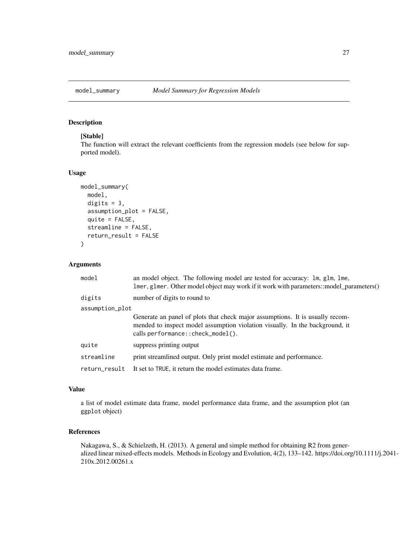<span id="page-26-0"></span>

#### Description

#### [Stable]

The function will extract the relevant coefficients from the regression models (see below for supported model).

#### Usage

```
model_summary(
  model,
  digits = 3,
  assumption_plot = FALSE,
  quite = FALSE,
  streamline = FALSE,
  return_result = FALSE
\mathcal{L}
```
#### Arguments

| model           | an model object. The following model are tested for accuracy: 1m, g1m, 1me,<br>lmer, glmer. Other model object may work if it work with parameters::model_parameters()                              |  |
|-----------------|-----------------------------------------------------------------------------------------------------------------------------------------------------------------------------------------------------|--|
| digits          | number of digits to round to                                                                                                                                                                        |  |
| assumption_plot |                                                                                                                                                                                                     |  |
|                 | Generate an panel of plots that check major assumptions. It is usually recom-<br>mended to inspect model assumption violation visually. In the background, it<br>calls performance:: check_model(). |  |
| quite           | suppress printing output                                                                                                                                                                            |  |
| streamline      | print streamlined output. Only print model estimate and performance.                                                                                                                                |  |
| return result   | It set to TRUE, it return the model estimates data frame.                                                                                                                                           |  |

#### Value

a list of model estimate data frame, model performance data frame, and the assumption plot (an ggplot object)

#### References

Nakagawa, S., & Schielzeth, H. (2013). A general and simple method for obtaining R2 from generalized linear mixed-effects models. Methods in Ecology and Evolution, 4(2), 133–142. https://doi.org/10.1111/j.2041- 210x.2012.00261.x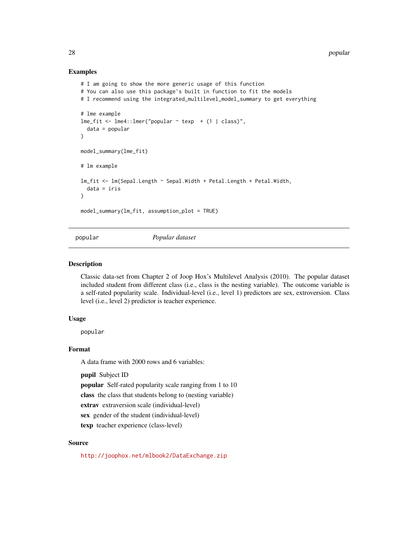#### Examples

```
# I am going to show the more generic usage of this function
# You can also use this package's built in function to fit the models
# I recommend using the integrated_multilevel_model_summary to get everything
# lme example
lme_fit <- lme4::lmer("popular ~ texp ~ + (1 ~ | ~class)",data = popular
)
model_summary(lme_fit)
# lm example
lm_fit <- lm(Sepal.Length ~ Sepal.Width + Petal.Length + Petal.Width,
  data = iris
\lambdamodel_summary(lm_fit, assumption_plot = TRUE)
```
popular *Popular dataset*

#### Description

Classic data-set from Chapter 2 of Joop Hox's Multilevel Analysis (2010). The popular dataset included student from different class (i.e., class is the nesting variable). The outcome variable is a self-rated popularity scale. Individual-level (i.e., level 1) predictors are sex, extroversion. Class level (i.e., level 2) predictor is teacher experience.

#### Usage

popular

#### Format

A data frame with 2000 rows and 6 variables:

pupil Subject ID

popular Self-rated popularity scale ranging from 1 to 10

class the class that students belong to (nesting variable)

extrav extraversion scale (individual-level)

sex gender of the student (individual-level)

texp teacher experience (class-level)

#### Source

<http://joophox.net/mlbook2/DataExchange.zip>

<span id="page-27-0"></span>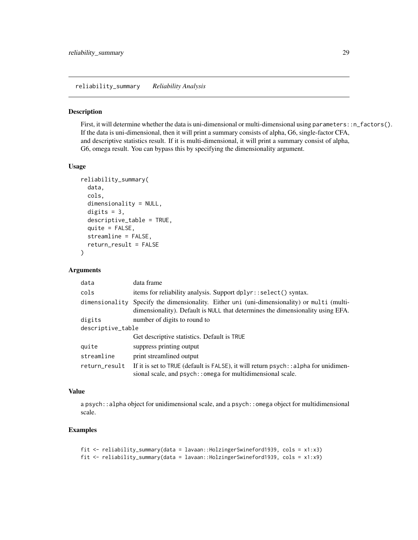<span id="page-28-0"></span>reliability\_summary *Reliability Analysis*

#### Description

First, it will determine whether the data is uni-dimensional or multi-dimensional using parameters::n\_factors(). If the data is uni-dimensional, then it will print a summary consists of alpha, G6, single-factor CFA, and descriptive statistics result. If it is multi-dimensional, it will print a summary consist of alpha, G6, omega result. You can bypass this by specifying the dimensionality argument.

#### Usage

```
reliability_summary(
  data,
  cols,
  dimensionality = NULL,
  digits = 3,
  descriptive_table = TRUE,
  quite = FALSE,streamline = FALSE,
  return_result = FALSE
\lambda
```
#### Arguments

| data              | data frame                                                                                                                                                     |  |
|-------------------|----------------------------------------------------------------------------------------------------------------------------------------------------------------|--|
| cols              | items for reliability analysis. Support dplyr::select() syntax.                                                                                                |  |
| dimensionality    | Specify the dimensionality. Either uni (uni-dimensionality) or multi (multi-<br>dimensionality). Default is NULL that determines the dimensionality using EFA. |  |
| digits            | number of digits to round to                                                                                                                                   |  |
| descriptive_table |                                                                                                                                                                |  |
|                   | Get descriptive statistics. Default is TRUE                                                                                                                    |  |
| quite             | suppress printing output                                                                                                                                       |  |
| streamline        | print streamlined output                                                                                                                                       |  |
| return_result     | If it is set to TRUE (default is FALSE), it will return psych: : alpha for unidimen-<br>sional scale, and psych:: omega for multidimensional scale.            |  |

#### Value

a psych: : alpha object for unidimensional scale, and a psych: : omega object for multidimensional scale.

```
fit <- reliability_summary(data = lavaan::HolzingerSwineford1939, cols = x1:x3)
fit <- reliability_summary(data = lavaan::HolzingerSwineford1939, cols = x1:x9)
```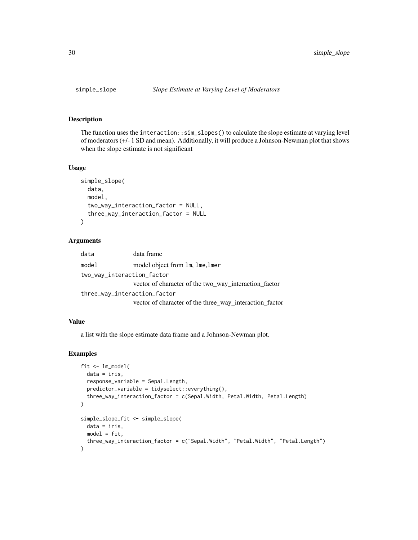#### Description

The function uses the interaction::sim\_slopes() to calculate the slope estimate at varying level of moderators (+/- 1 SD and mean). Additionally, it will produce a Johnson-Newman plot that shows when the slope estimate is not significant

#### Usage

```
simple_slope(
  data,
 model,
  two_way_interaction_factor = NULL,
  three_way_interaction_factor = NULL
\mathcal{L}
```
#### Arguments

| data                         | data frame                                              |
|------------------------------|---------------------------------------------------------|
| model                        | model object from 1m, 1me, 1mer                         |
| two_way_interaction_factor   |                                                         |
|                              | vector of character of the two_way_interaction_factor   |
| three_way_interaction_factor |                                                         |
|                              | vector of character of the three_way_interaction_factor |

#### Value

a list with the slope estimate data frame and a Johnson-Newman plot.

```
fit <- lm_model(
  data = iris,
  response_variable = Sepal.Length,
  predictor_variable = tidyselect::everything(),
  three_way_interaction_factor = c(Sepal.Width, Petal.Width, Petal.Length)
)
simple_slope_fit <- simple_slope(
 data = iris,
 model = fit,
  three_way_interaction_factor = c("Sepal.Width", "Petal.Width", "Petal.Length")
\mathcal{L}
```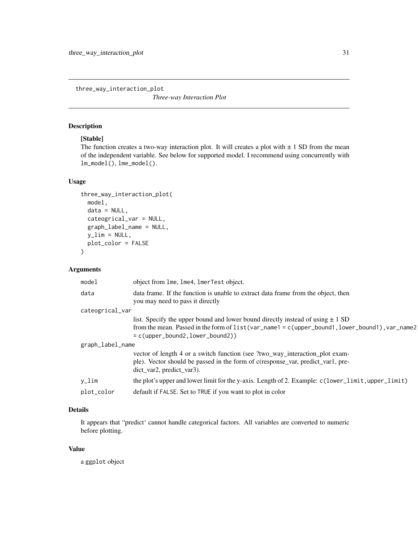<span id="page-30-0"></span>three\_way\_interaction\_plot

*Three-way Interaction Plot*

#### Description

#### [Stable]

The function creates a two-way interaction plot. It will creates a plot with  $\pm$  1 SD from the mean of the independent variable. See below for supported model. I recommend using concurrently with lm\_model(), lme\_model().

#### Usage

```
three_way_interaction_plot(
 model,
  data = NULL,cateogrical_var = NULL,
  graph_label_name = NULL,
 y<sup>-</sup>lim = NULL,
 plot_color = FALSE
)
```
#### Arguments

| model            | object from lme, lme4, lmerTest object.                                                                                                                                                           |  |
|------------------|---------------------------------------------------------------------------------------------------------------------------------------------------------------------------------------------------|--|
| data             | data frame. If the function is unable to extract data frame from the object, then<br>you may need to pass it directly                                                                             |  |
| cateogrical_var  |                                                                                                                                                                                                   |  |
|                  | list. Specify the upper bound and lower bound directly instead of using $\pm 1$ SD                                                                                                                |  |
|                  | from the mean. Passed in the form of list (var_name1 = c(upper_bound1, lower_bound1), var_name2<br>$= c(\text{upper\_bound2}, \text{lower\_bound2})$                                              |  |
| graph_label_name |                                                                                                                                                                                                   |  |
|                  | vector of length 4 or a switch function (see ?two_way_interaction_plot exam-<br>ple). Vector should be passed in the form of c(response_var, predict_var1, pre-<br>$dict_{var2}$ , predict_var3). |  |
| y_lim            | the plot's upper and lower limit for the y-axis. Length of 2. Example: c(lower_limit, upper_limit)                                                                                                |  |
| plot_color       | default if FALSE. Set to TRUE if you want to plot in color                                                                                                                                        |  |

#### Details

It appears that "predict' cannot handle categorical factors. All variables are converted to numeric before plotting.

#### Value

a ggplot object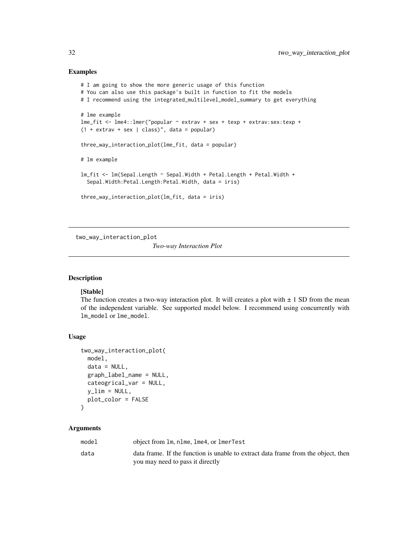#### Examples

```
# I am going to show the more generic usage of this function
# You can also use this package's built in function to fit the models
# I recommend using the integrated_multilevel_model_summary to get everything
# lme example
lme_fit <- lme4::lmer("popular ~ extrav + sex + texp + extrav:sex:texp +
(1 + \text{extrav} + \text{sex} | \text{class})", data = popular)
three_way_interaction_plot(lme_fit, data = popular)
# lm example
lm_fit <- lm(Sepal.Length ~ Sepal.Width + Petal.Length + Petal.Width +
  Sepal.Width:Petal.Length:Petal.Width, data = iris)
three_way_interaction_plot(lm_fit, data = iris)
```
two\_way\_interaction\_plot

*Two-way Interaction Plot*

#### Description

#### [Stable]

The function creates a two-way interaction plot. It will creates a plot with  $\pm$  1 SD from the mean of the independent variable. See supported model below. I recommend using concurrently with lm\_model or lme\_model.

#### Usage

```
two_way_interaction_plot(
  model,
  data = NULL,
  graph_label_name = NULL,
  cateogrical_var = NULL,
  y<sup>-</sup>lim = NULL,
 plot_color = FALSE
```

```
)
```
#### Arguments

| model | object from 1m, n1me, 1me4, or 1merTest                                           |
|-------|-----------------------------------------------------------------------------------|
| data  | data frame. If the function is unable to extract data frame from the object, then |
|       | you may need to pass it directly                                                  |

<span id="page-31-0"></span>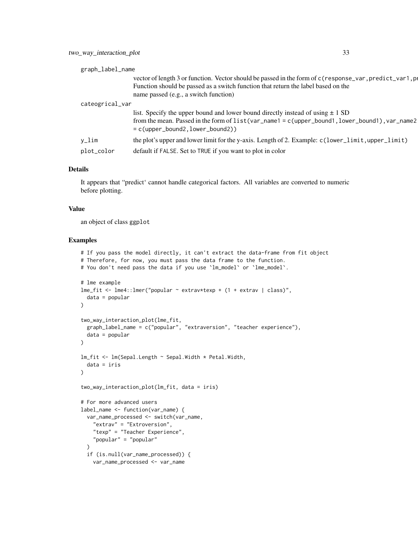| graph_label_name |                                                                                                                                                                                                                                            |  |
|------------------|--------------------------------------------------------------------------------------------------------------------------------------------------------------------------------------------------------------------------------------------|--|
|                  | vector of length 3 or function. Vector should be passed in the form of c(response_var, predict_var1, p<br>Function should be passed as a switch function that return the label based on the<br>name passed (e.g., a switch function)       |  |
| cateogrical_var  |                                                                                                                                                                                                                                            |  |
|                  | list. Specify the upper bound and lower bound directly instead of using $\pm 1$ SD<br>from the mean. Passed in the form of list (var_name1 = c(upper_bound1, lower_bound1), var_name2<br>$= c(\text{upper\_bound2}, \text{lower\_bound2})$ |  |
| y_lim            | the plot's upper and lower limit for the y-axis. Length of 2. Example: $c$ (lower_limit, upper_limit)                                                                                                                                      |  |
| plot_color       | default if FALSE. Set to TRUE if you want to plot in color                                                                                                                                                                                 |  |
|                  |                                                                                                                                                                                                                                            |  |

#### Details

It appears that "predict' cannot handle categorical factors. All variables are converted to numeric before plotting.

#### Value

an object of class ggplot

```
# If you pass the model directly, it can't extract the data-frame from fit object
# Therefore, for now, you must pass the data frame to the function.
# You don't need pass the data if you use 'lm_model' or 'lme_model'.
# lme example
lme_fit <- lme4::lmer("popular ~ extrav*texp + (1 + extrav | class)",
  data = popular
\lambdatwo_way_interaction_plot(lme_fit,
  graph_label_name = c("popular", "extraversion", "teacher experience"),
  data = popular
)
lm_fit <- lm(Sepal.Length ~ Sepal.Width * Petal.Width,
  data = iris
\lambdatwo_way_interaction_plot(lm_fit, data = iris)
# For more advanced users
label_name <- function(var_name) {
  var_name_processed <- switch(var_name,
   "extrav" = "Extroversion",
   "texp" = "Teacher Experience",
    "popular" = "popular"
  )
  if (is.null(var_name_processed)) {
   var_name_processed <- var_name
```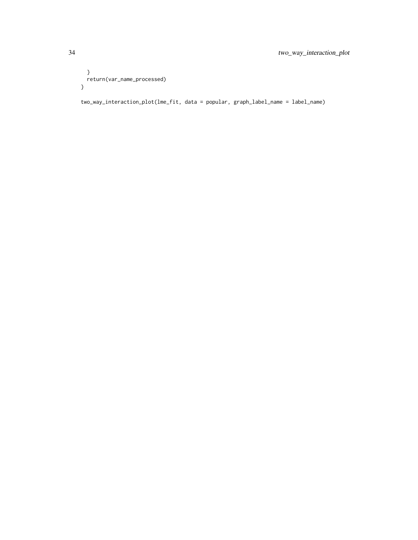```
}
 return(var_name_processed)
}
```
two\_way\_interaction\_plot(lme\_fit, data = popular, graph\_label\_name = label\_name)